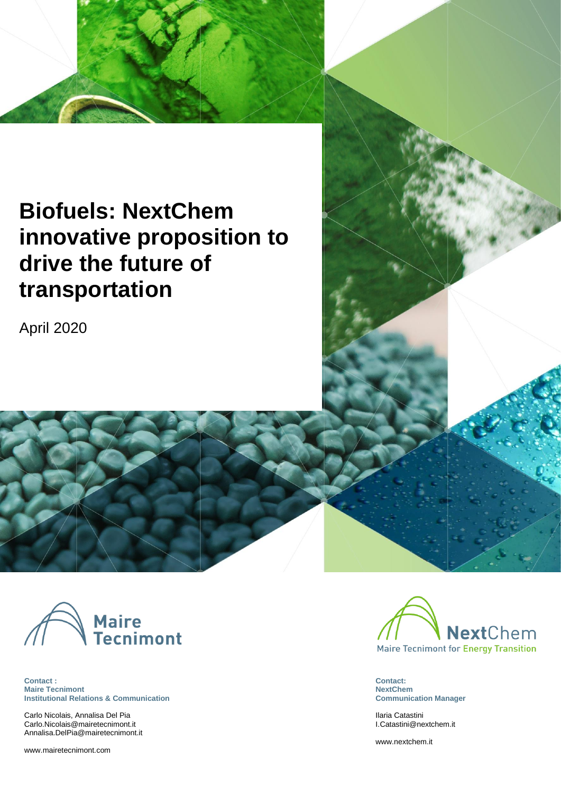# **Biofuels: NextChem innovative proposition to drive the future of transportation**

April 2020



**Contact : Maire Tecnimont Institutional Relations & Communication**

Carlo Nicolais, Annalisa Del Pia [Carlo.Nicolais@mairetecnimont.it](mailto:Carlo.Nicolais@mairetecnimont.it) [Annalisa.DelPia@mairetecnimont.it](mailto:Annalisa.DelPia@mairetecnimont.it)

[www.mairetecnimont.com](http://www.mairetecnimont.com/)



**Contact: NextChem Communication Manager**

Ilaria Catastini [I.Catastini@nextchem.it](mailto:I.Catastini@nextchem.it)

[www.nextchem.it](http://www.nextchem.it/)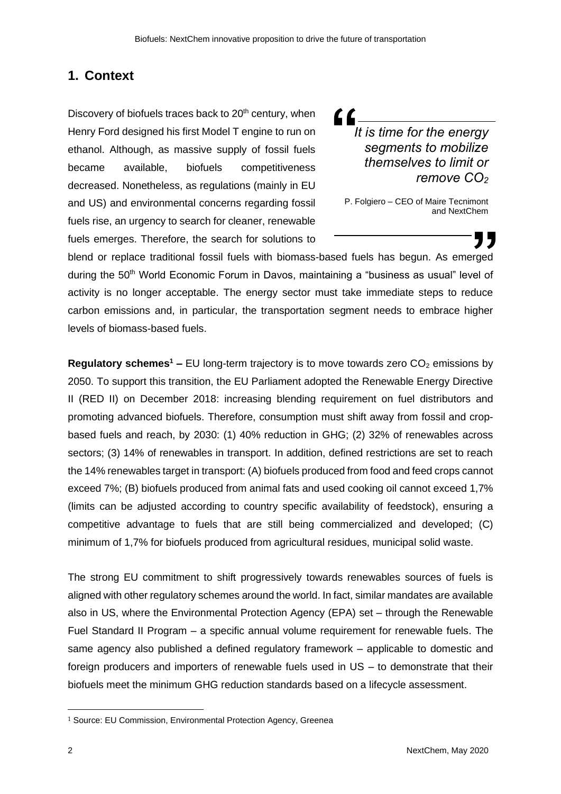## **1. Context**

Discovery of biofuels traces back to 20<sup>th</sup> century, when Henry Ford designed his first Model T engine to run on ethanol. Although, as massive supply of fossil fuels became available, biofuels competitiveness decreased. Nonetheless, as regulations (mainly in EU and US) and environmental concerns regarding fossil fuels rise, an urgency to search for cleaner, renewable fuels emerges. Therefore, the search for solutions to

LL *It is time for the energy segments to mobilize themselves to limit or remove CO<sup>2</sup>*

P. Folgiero – CEO of Maire Tecnimont and NextChem

blend or replace traditional fossil fuels with biomass-based fuels has begun. As emerged during the 50<sup>th</sup> World Economic Forum in Davos, maintaining a "business as usual" level of activity is no longer acceptable. The energy sector must take immediate steps to reduce carbon emissions and, in particular, the transportation segment needs to embrace higher levels of biomass-based fuels.

**Regulatory schemes<sup>1</sup> –** EU long-term trajectory is to move towards zero  $CO<sub>2</sub>$  emissions by 2050. To support this transition, the EU Parliament adopted the Renewable Energy Directive II (RED II) on December 2018: increasing blending requirement on fuel distributors and promoting advanced biofuels. Therefore, consumption must shift away from fossil and cropbased fuels and reach, by 2030: (1) 40% reduction in GHG; (2) 32% of renewables across sectors; (3) 14% of renewables in transport. In addition, defined restrictions are set to reach the 14% renewables target in transport: (A) biofuels produced from food and feed crops cannot exceed 7%; (B) biofuels produced from animal fats and used cooking oil cannot exceed 1,7% (limits can be adjusted according to country specific availability of feedstock), ensuring a competitive advantage to fuels that are still being commercialized and developed; (C) minimum of 1,7% for biofuels produced from agricultural residues, municipal solid waste.

The strong EU commitment to shift progressively towards renewables sources of fuels is aligned with other regulatory schemes around the world. In fact, similar mandates are available also in US, where the Environmental Protection Agency (EPA) set – through the Renewable Fuel Standard II Program – a specific annual volume requirement for renewable fuels. The same agency also published a defined regulatory framework – applicable to domestic and foreign producers and importers of renewable fuels used in US – to demonstrate that their biofuels meet the minimum GHG reduction standards based on a lifecycle assessment.

<sup>1</sup> Source: EU Commission, Environmental Protection Agency, Greenea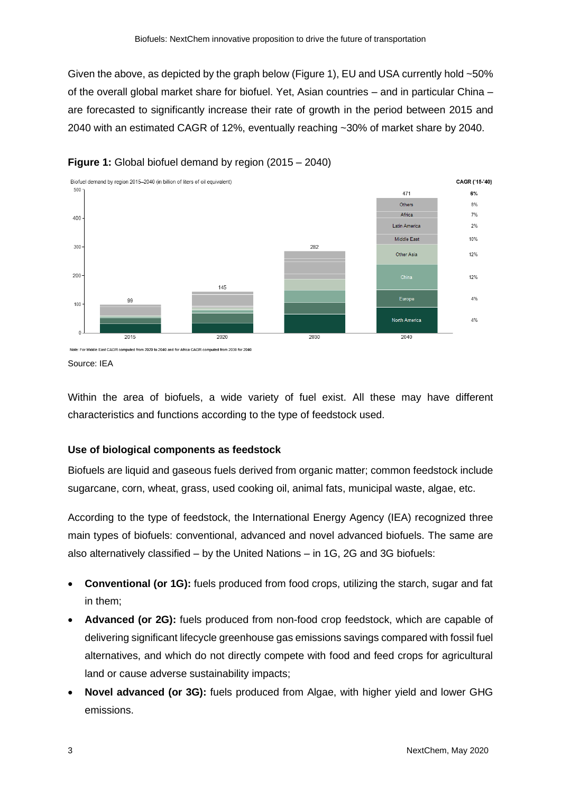Given the above, as depicted by the graph below (Figure 1), EU and USA currently hold ~50% of the overall global market share for biofuel. Yet, Asian countries – and in particular China – are forecasted to significantly increase their rate of growth in the period between 2015 and 2040 with an estimated CAGR of 12%, eventually reaching ~30% of market share by 2040.





Source: IEA

Within the area of biofuels, a wide variety of fuel exist. All these may have different characteristics and functions according to the type of feedstock used.

#### **Use of biological components as feedstock**

Biofuels are liquid and gaseous fuels derived from organic matter; common feedstock include sugarcane, corn, wheat, grass, used cooking oil, animal fats, municipal waste, algae, etc.

According to the type of feedstock, the International Energy Agency (IEA) recognized three main types of biofuels: conventional, advanced and novel advanced biofuels. The same are also alternatively classified – by the United Nations – in 1G, 2G and 3G biofuels:

- **Conventional (or 1G):** fuels produced from food crops, utilizing the starch, sugar and fat in them;
- **Advanced (or 2G):** fuels produced from non-food crop feedstock, which are capable of delivering significant lifecycle greenhouse gas emissions savings compared with fossil fuel alternatives, and which do not directly compete with food and feed crops for agricultural land or cause adverse sustainability impacts;
- **Novel advanced (or 3G):** fuels produced from Algae, with higher yield and lower GHG emissions.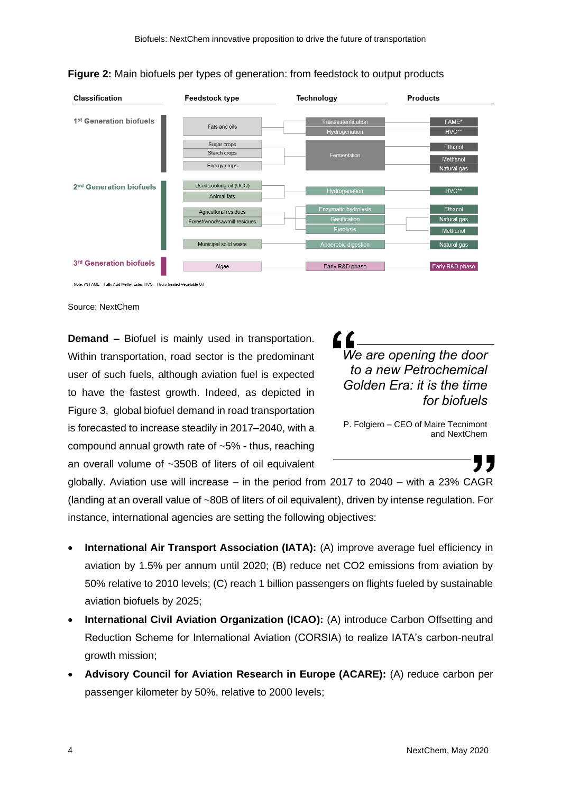

**Figure 2:** Main biofuels per types of generation: from feedstock to output products

Source: NextChem

**Demand –** Biofuel is mainly used in transportation. Within transportation, road sector is the predominant user of such fuels, although aviation fuel is expected to have the fastest growth. Indeed, as depicted in Figure 3, global biofuel demand in road transportation is forecasted to increase steadily in 2017**–**2040, with a compound annual growth rate of ~5% - thus, reaching an overall volume of ~350B of liters of oil equivalent *We are opening the door to a new Petrochemical Golden Era: it is the time for biofuels*

P. Folgiero – CEO of Maire Tecnimont and NextChem

globally. Aviation use will increase – in the period from 2017 to  $2040 -$  with a  $23\%$  CAGR (landing at an overall value of ~80B of liters of oil equivalent), driven by intense regulation. For instance, international agencies are setting the following objectives:

- **International Air Transport Association (IATA):** (A) improve average fuel efficiency in aviation by 1.5% per annum until 2020; (B) reduce net CO2 emissions from aviation by 50% relative to 2010 levels; (C) reach 1 billion passengers on flights fueled by sustainable aviation biofuels by 2025;
- **International Civil Aviation Organization (ICAO):** (A) introduce Carbon Offsetting and Reduction Scheme for International Aviation (CORSIA) to realize IATA's carbon-neutral growth mission;
- **Advisory Council for Aviation Research in Europe (ACARE):** (A) reduce carbon per passenger kilometer by 50%, relative to 2000 levels;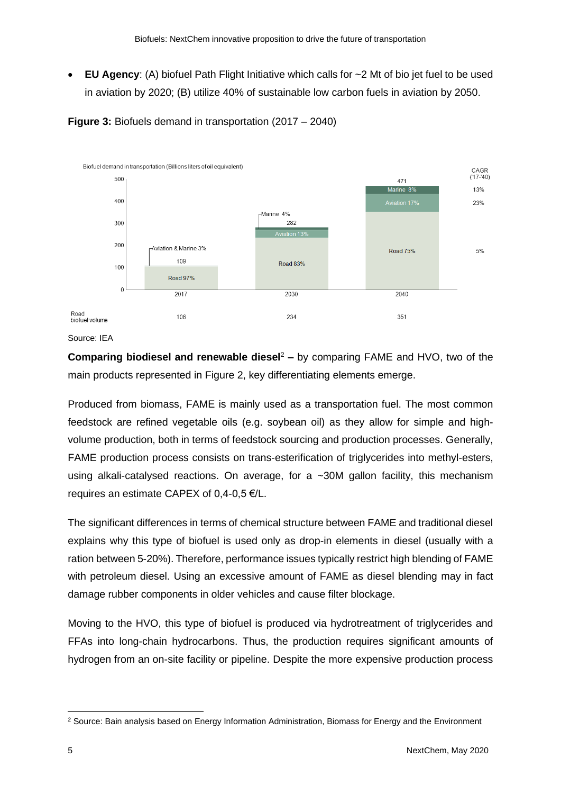• **EU Agency**: (A) biofuel Path Flight Initiative which calls for ~2 Mt of bio jet fuel to be used in aviation by 2020; (B) utilize 40% of sustainable low carbon fuels in aviation by 2050.





**Comparing biodiesel and renewable diesel<sup>2</sup> – by comparing FAME and HVO, two of the** main products represented in Figure 2, key differentiating elements emerge.

Produced from biomass, FAME is mainly used as a transportation fuel. The most common feedstock are refined vegetable oils (e.g. soybean oil) as they allow for simple and highvolume production, both in terms of feedstock sourcing and production processes. Generally, FAME production process consists on trans-esterification of triglycerides into methyl-esters, using alkali-catalysed reactions. On average, for a ~30M gallon facility, this mechanism requires an estimate CAPEX of 0,4-0,5 €/L.

The significant differences in terms of chemical structure between FAME and traditional diesel explains why this type of biofuel is used only as drop-in elements in diesel (usually with a ration between 5-20%). Therefore, performance issues typically restrict high blending of FAME with petroleum diesel. Using an excessive amount of FAME as diesel blending may in fact damage rubber components in older vehicles and cause filter blockage.

Moving to the HVO, this type of biofuel is produced via hydrotreatment of triglycerides and FFAs into long-chain hydrocarbons. Thus, the production requires significant amounts of hydrogen from an on-site facility or pipeline. Despite the more expensive production process

Source: IEA

<sup>&</sup>lt;sup>2</sup> Source: Bain analysis based on Energy Information Administration, Biomass for Energy and the Environment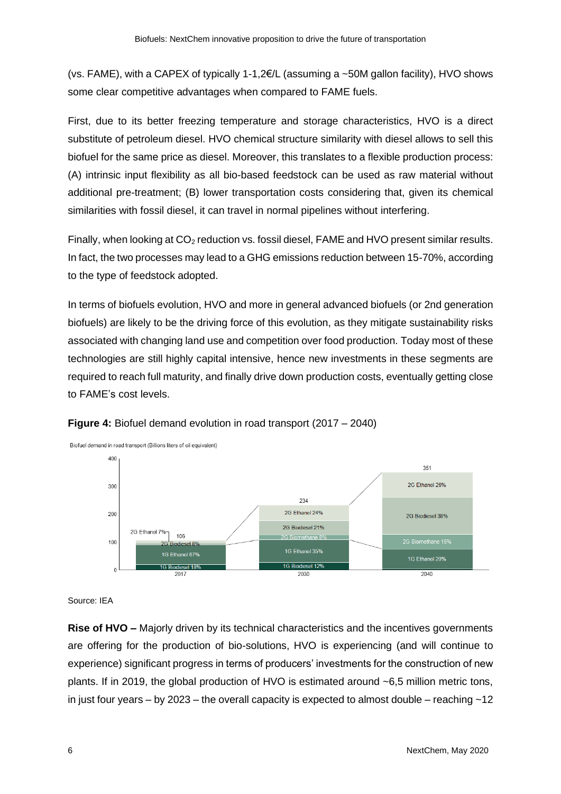(vs. FAME), with a CAPEX of typically 1-1,2€/L (assuming a ~50M gallon facility), HVO shows some clear competitive advantages when compared to FAME fuels.

First, due to its better freezing temperature and storage characteristics, HVO is a direct substitute of petroleum diesel. HVO chemical structure similarity with diesel allows to sell this biofuel for the same price as diesel. Moreover, this translates to a flexible production process: (A) intrinsic input flexibility as all bio-based feedstock can be used as raw material without additional pre-treatment; (B) lower transportation costs considering that, given its chemical similarities with fossil diesel, it can travel in normal pipelines without interfering.

Finally, when looking at CO<sub>2</sub> reduction vs. fossil diesel, FAME and HVO present similar results. In fact, the two processes may lead to a GHG emissions reduction between 15-70%, according to the type of feedstock adopted.

In terms of biofuels evolution, HVO and more in general advanced biofuels (or 2nd generation biofuels) are likely to be the driving force of this evolution, as they mitigate sustainability risks associated with changing land use and competition over food production. Today most of these technologies are still highly capital intensive, hence new investments in these segments are required to reach full maturity, and finally drive down production costs, eventually getting close to FAME's cost levels.





Source: IEA

**Rise of HVO –** Majorly driven by its technical characteristics and the incentives governments are offering for the production of bio-solutions, HVO is experiencing (and will continue to experience) significant progress in terms of producers' investments for the construction of new plants. If in 2019, the global production of HVO is estimated around ~6,5 million metric tons, in just four years – by 2023 – the overall capacity is expected to almost double – reaching  $\sim$  12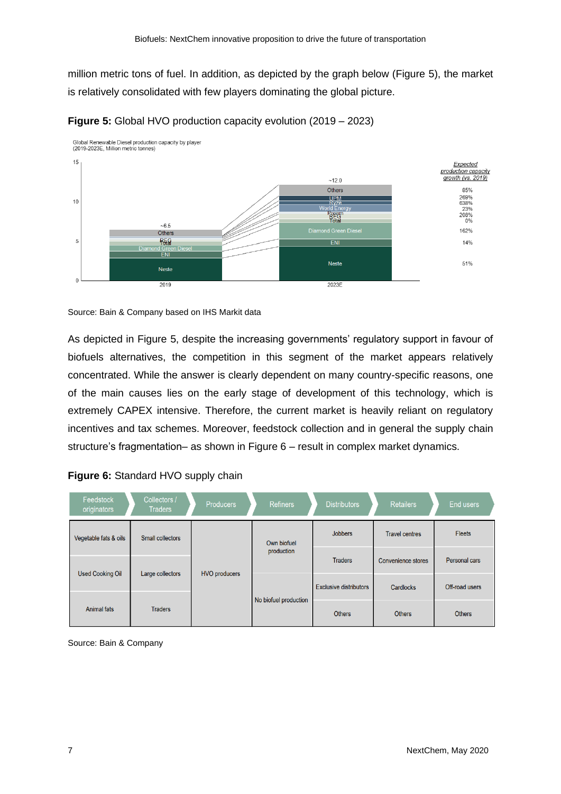million metric tons of fuel. In addition, as depicted by the graph below (Figure 5), the market is relatively consolidated with few players dominating the global picture.





As depicted in Figure 5, despite the increasing governments' regulatory support in favour of biofuels alternatives, the competition in this segment of the market appears relatively concentrated. While the answer is clearly dependent on many country-specific reasons, one of the main causes lies on the early stage of development of this technology, which is extremely CAPEX intensive. Therefore, the current market is heavily reliant on regulatory incentives and tax schemes. Moreover, feedstock collection and in general the supply chain structure's fragmentation– as shown in Figure 6 – result in complex market dynamics.

| Feedstock<br>originators | Collectors /<br><b>Traders</b> | <b>Producers</b>     | <b>Refiners</b>           | <b>Distributors</b>           | <b>Retailers</b>          | <b>End users</b> |
|--------------------------|--------------------------------|----------------------|---------------------------|-------------------------------|---------------------------|------------------|
| Vegetable fats & oils    | <b>Small collectors</b>        |                      | Own biofuel<br>production | <b>Jobbers</b>                | <b>Travel centres</b>     | <b>Fleets</b>    |
| <b>Used Cooking Oil</b>  | Large collectors               | <b>HVO producers</b> |                           | <b>Traders</b>                | <b>Convenience stores</b> | Personal cars    |
|                          |                                |                      |                           | <b>Exclusive distributors</b> | Cardlocks                 | Off-road users   |
| <b>Animal fats</b>       | <b>Traders</b>                 |                      | No biofuel production     |                               | <b>Others</b>             | <b>Others</b>    |

|  | Figure 6: Standard HVO supply chain |  |
|--|-------------------------------------|--|
|--|-------------------------------------|--|

Source: Bain & Company

Source: Bain & Company based on IHS Markit data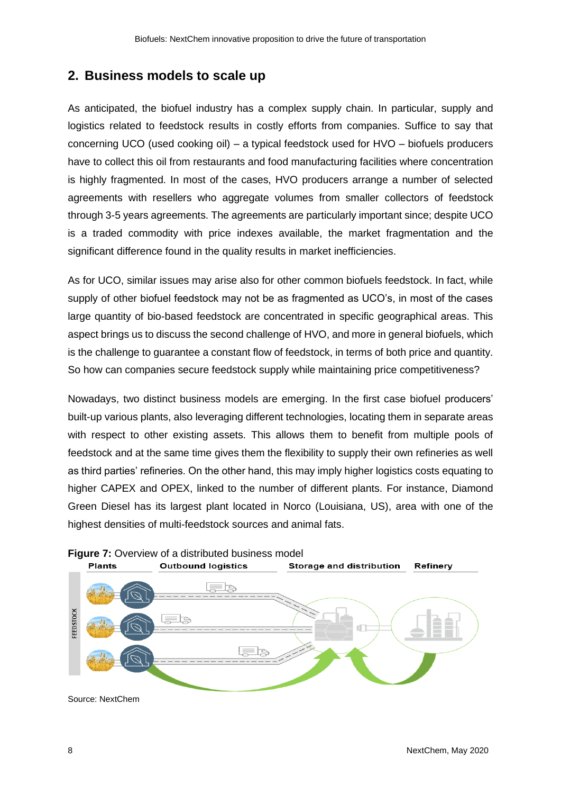## **2. Business models to scale up**

As anticipated, the biofuel industry has a complex supply chain. In particular, supply and logistics related to feedstock results in costly efforts from companies. Suffice to say that concerning UCO (used cooking oil) – a typical feedstock used for HVO – biofuels producers have to collect this oil from restaurants and food manufacturing facilities where concentration is highly fragmented. In most of the cases, HVO producers arrange a number of selected agreements with resellers who aggregate volumes from smaller collectors of feedstock through 3-5 years agreements. The agreements are particularly important since; despite UCO is a traded commodity with price indexes available, the market fragmentation and the significant difference found in the quality results in market inefficiencies.

As for UCO, similar issues may arise also for other common biofuels feedstock. In fact, while supply of other biofuel feedstock may not be as fragmented as UCO's, in most of the cases large quantity of bio-based feedstock are concentrated in specific geographical areas. This aspect brings us to discuss the second challenge of HVO, and more in general biofuels, which is the challenge to guarantee a constant flow of feedstock, in terms of both price and quantity. So how can companies secure feedstock supply while maintaining price competitiveness?

Nowadays, two distinct business models are emerging. In the first case biofuel producers' built-up various plants, also leveraging different technologies, locating them in separate areas with respect to other existing assets. This allows them to benefit from multiple pools of feedstock and at the same time gives them the flexibility to supply their own refineries as well as third parties' refineries. On the other hand, this may imply higher logistics costs equating to higher CAPEX and OPEX, linked to the number of different plants. For instance, Diamond Green Diesel has its largest plant located in Norco (Louisiana, US), area with one of the highest densities of multi-feedstock sources and animal fats.



**Figure 7:** Overview of a distributed business model<br>Plants **Dutbound logistics** Storage and distribution

Source: NextChem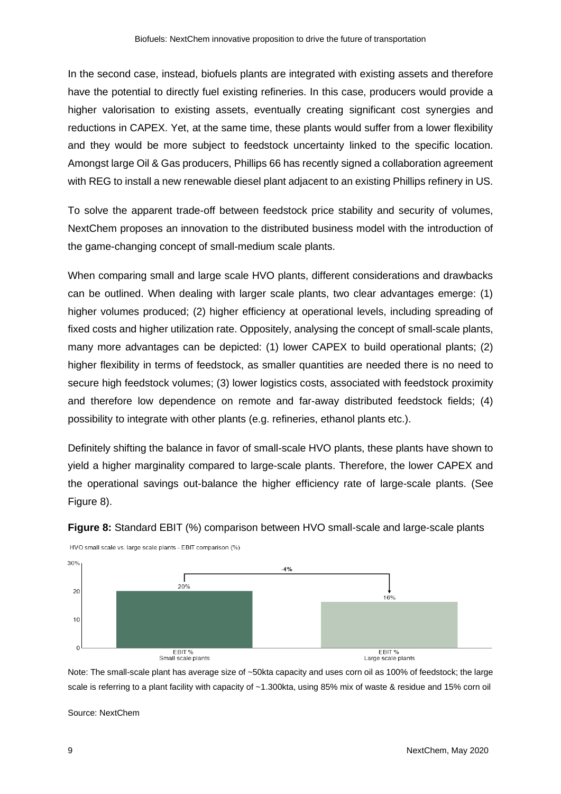In the second case, instead, biofuels plants are integrated with existing assets and therefore have the potential to directly fuel existing refineries. In this case, producers would provide a higher valorisation to existing assets, eventually creating significant cost synergies and reductions in CAPEX. Yet, at the same time, these plants would suffer from a lower flexibility and they would be more subject to feedstock uncertainty linked to the specific location. Amongst large Oil & Gas producers, Phillips 66 has recently signed a collaboration agreement with REG to install a new renewable diesel plant adjacent to an existing Phillips refinery in US.

To solve the apparent trade-off between feedstock price stability and security of volumes, NextChem proposes an innovation to the distributed business model with the introduction of the game-changing concept of small-medium scale plants.

When comparing small and large scale HVO plants, different considerations and drawbacks can be outlined. When dealing with larger scale plants, two clear advantages emerge: (1) higher volumes produced; (2) higher efficiency at operational levels, including spreading of fixed costs and higher utilization rate. Oppositely, analysing the concept of small-scale plants, many more advantages can be depicted: (1) lower CAPEX to build operational plants; (2) higher flexibility in terms of feedstock, as smaller quantities are needed there is no need to secure high feedstock volumes; (3) lower logistics costs, associated with feedstock proximity and therefore low dependence on remote and far-away distributed feedstock fields; (4) possibility to integrate with other plants (e.g. refineries, ethanol plants etc.).

Definitely shifting the balance in favor of small-scale HVO plants, these plants have shown to yield a higher marginality compared to large-scale plants. Therefore, the lower CAPEX and the operational savings out-balance the higher efficiency rate of large-scale plants. (See Figure 8).



**Figure 8:** Standard EBIT (%) comparison between HVO small-scale and large-scale plants

Note: The small-scale plant has average size of ~50kta capacity and uses corn oil as 100% of feedstock; the large scale is referring to a plant facility with capacity of ~1.300kta, using 85% mix of waste & residue and 15% corn oil

Source: NextChem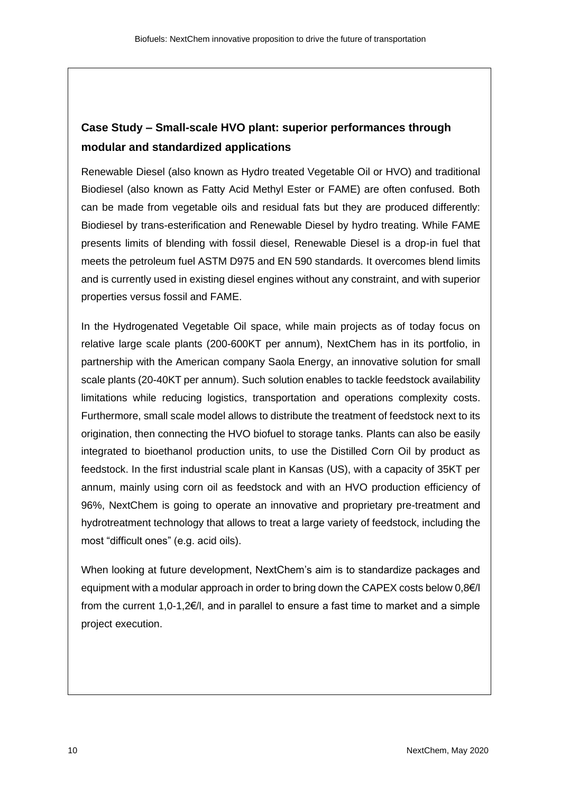## **Case Study – Small-scale HVO plant: superior performances through modular and standardized applications**

Renewable Diesel (also known as Hydro treated Vegetable Oil or HVO) and traditional Biodiesel (also known as Fatty Acid Methyl Ester or FAME) are often confused. Both can be made from vegetable oils and residual fats but they are produced differently: Biodiesel by trans-esterification and Renewable Diesel by hydro treating. While FAME presents limits of blending with fossil diesel, Renewable Diesel is a drop-in fuel that meets the petroleum fuel ASTM D975 and EN 590 standards. It overcomes blend limits and is currently used in existing diesel engines without any constraint, and with superior properties versus fossil and FAME.

In the Hydrogenated Vegetable Oil space, while main projects as of today focus on relative large scale plants (200-600KT per annum), NextChem has in its portfolio, in partnership with the American company Saola Energy, an innovative solution for small scale plants (20-40KT per annum). Such solution enables to tackle feedstock availability limitations while reducing logistics, transportation and operations complexity costs. Furthermore, small scale model allows to distribute the treatment of feedstock next to its origination, then connecting the HVO biofuel to storage tanks. Plants can also be easily integrated to bioethanol production units, to use the Distilled Corn Oil by product as feedstock. In the first industrial scale plant in Kansas (US), with a capacity of 35KT per annum, mainly using corn oil as feedstock and with an HVO production efficiency of 96%, NextChem is going to operate an innovative and proprietary pre-treatment and hydrotreatment technology that allows to treat a large variety of feedstock, including the most "difficult ones" (e.g. acid oils).

When looking at future development, NextChem's aim is to standardize packages and equipment with a modular approach in order to bring down the CAPEX costs below  $0.8 \in I$ from the current 1,0-1,2€/l, and in parallel to ensure a fast time to market and a simple project execution.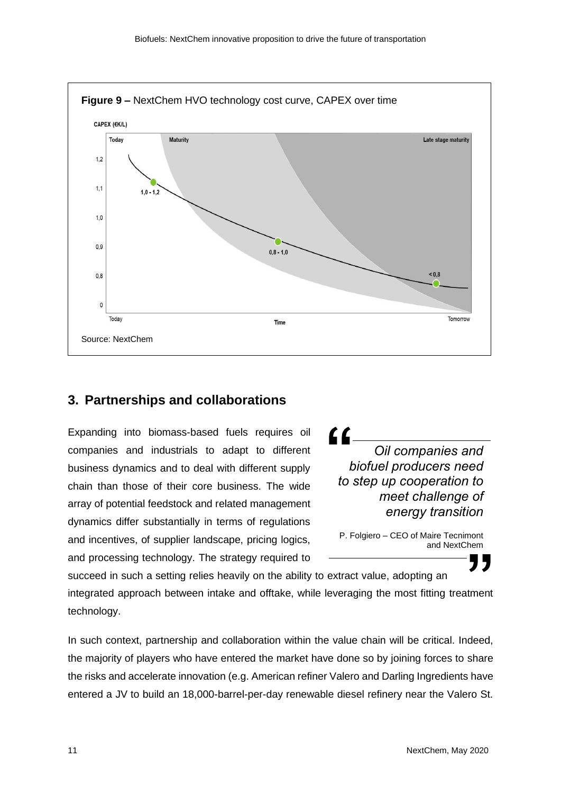

#### **3. Partnerships and collaborations**

Expanding into biomass-based fuels requires oil companies and industrials to adapt to different business dynamics and to deal with different supply chain than those of their core business. The wide array of potential feedstock and related management dynamics differ substantially in terms of regulations and incentives, of supplier landscape, pricing logics, and processing technology. The strategy required to

71 *Oil companies and biofuel producers need to step up cooperation to meet challenge of energy transition*

P. Folgiero – CEO of Maire Tecnimont and NextChem

succeed in such a setting relies heavily on the ability to extract value, adopting an integrated approach between intake and offtake, while leveraging the most fitting treatment technology.

In such context, partnership and collaboration within the value chain will be critical. Indeed, the majority of players who have entered the market have done so by joining forces to share the risks and accelerate innovation (e.g. American refiner Valero and Darling Ingredients have entered a JV to build an 18,000-barrel-per-day renewable diesel refinery near the Valero St.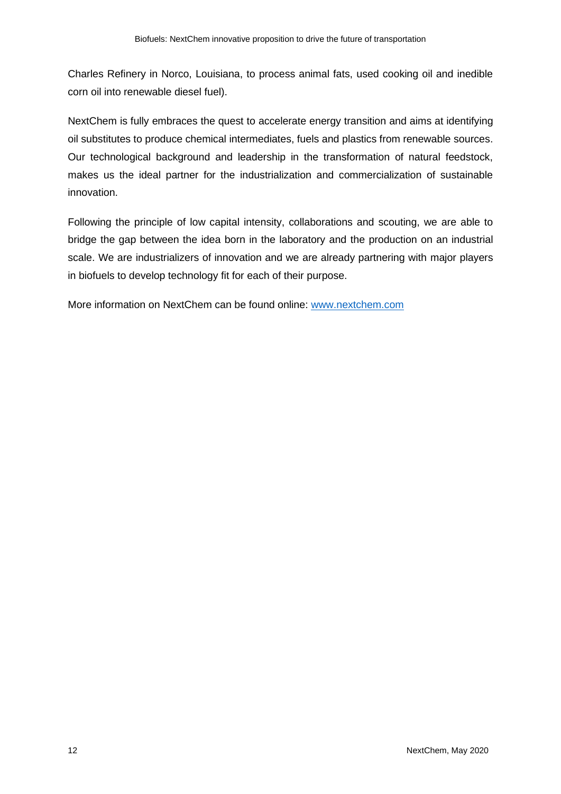Charles Refinery in Norco, Louisiana, to process animal fats, used cooking oil and inedible corn oil into renewable diesel fuel).

NextChem is fully embraces the quest to accelerate energy transition and aims at identifying oil substitutes to produce chemical intermediates, fuels and plastics from renewable sources. Our technological background and leadership in the transformation of natural feedstock, makes us the ideal partner for the industrialization and commercialization of sustainable innovation.

Following the principle of low capital intensity, collaborations and scouting, we are able to bridge the gap between the idea born in the laboratory and the production on an industrial scale. We are industrializers of innovation and we are already partnering with major players in biofuels to develop technology fit for each of their purpose.

More information on NextChem can be found online: [www.nextchem.com](http://www.nextchem.com/)